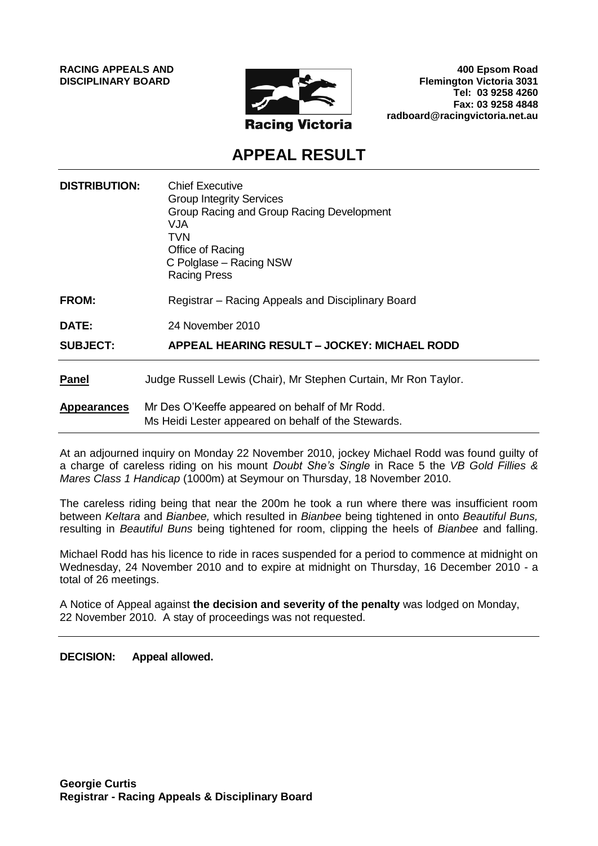**RACING APPEALS AND DISCIPLINARY BOARD**



**400 Epsom Road Flemington Victoria 3031 Tel: 03 9258 4260 Fax: 03 9258 4848 radboard@racingvictoria.net.au**

# **APPEAL RESULT**

| <b>DISTRIBUTION:</b> | <b>Chief Executive</b><br><b>Group Integrity Services</b><br>Group Racing and Group Racing Development<br>VJA.<br>TVN<br>Office of Racing<br>C Polglase – Racing NSW<br><b>Racing Press</b> |
|----------------------|---------------------------------------------------------------------------------------------------------------------------------------------------------------------------------------------|
| FROM:                | Registrar - Racing Appeals and Disciplinary Board                                                                                                                                           |
| <b>DATE:</b>         | 24 November 2010                                                                                                                                                                            |
| <b>SUBJECT:</b>      | APPEAL HEARING RESULT – JOCKEY: MICHAEL RODD                                                                                                                                                |
| <b>Panel</b>         | Judge Russell Lewis (Chair), Mr Stephen Curtain, Mr Ron Taylor.                                                                                                                             |
| <b>Appearances</b>   | Mr Des O'Keeffe appeared on behalf of Mr Rodd.<br>Ms Heidi Lester appeared on behalf of the Stewards.                                                                                       |

At an adjourned inquiry on Monday 22 November 2010, jockey Michael Rodd was found guilty of a charge of careless riding on his mount *Doubt She's Single* in Race 5 the *VB Gold Fillies & Mares Class 1 Handicap* (1000m) at Seymour on Thursday, 18 November 2010.

The careless riding being that near the 200m he took a run where there was insufficient room between *Keltara* and *Bianbee,* which resulted in *Bianbee* being tightened in onto *Beautiful Buns,* resulting in *Beautiful Buns* being tightened for room, clipping the heels of *Bianbee* and falling.

Michael Rodd has his licence to ride in races suspended for a period to commence at midnight on Wednesday, 24 November 2010 and to expire at midnight on Thursday, 16 December 2010 - a total of 26 meetings.

A Notice of Appeal against **the decision and severity of the penalty** was lodged on Monday, 22 November 2010. A stay of proceedings was not requested.

**DECISION: Appeal allowed.**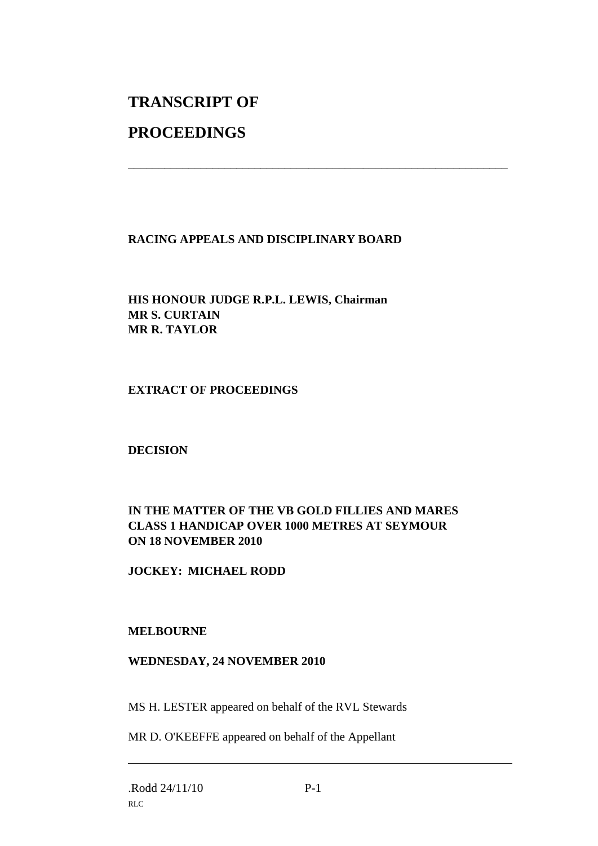# **TRANSCRIPT OF**

# **PROCEEDINGS**

## **RACING APPEALS AND DISCIPLINARY BOARD**

\_\_\_\_\_\_\_\_\_\_\_\_\_\_\_\_\_\_\_\_\_\_\_\_\_\_\_\_\_\_\_\_\_\_\_\_\_\_\_\_\_\_\_\_\_\_\_\_\_\_\_\_\_\_\_\_\_\_\_\_\_\_\_

## **HIS HONOUR JUDGE R.P.L. LEWIS, Chairman MR S. CURTAIN MR R. TAYLOR**

## **EXTRACT OF PROCEEDINGS**

## **DECISION**

## **IN THE MATTER OF THE VB GOLD FILLIES AND MARES CLASS 1 HANDICAP OVER 1000 METRES AT SEYMOUR ON 18 NOVEMBER 2010**

## **JOCKEY: MICHAEL RODD**

#### **MELBOURNE**

#### **WEDNESDAY, 24 NOVEMBER 2010**

MS H. LESTER appeared on behalf of the RVL Stewards

MR D. O'KEEFFE appeared on behalf of the Appellant